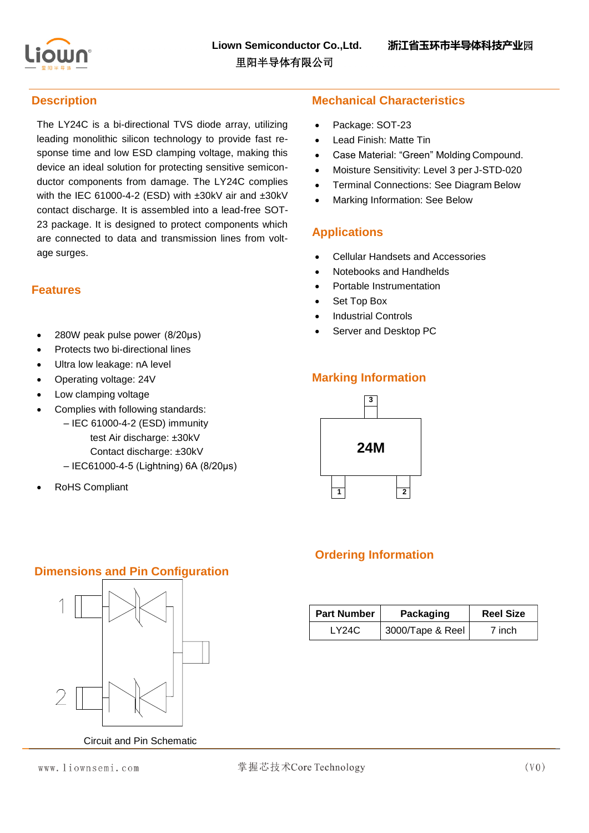

#### **Description**

The LY24C is a bi-directional TVS diode array, utilizing leading monolithic silicon technology to provide fast response time and low ESD clamping voltage, making this device an ideal solution for protecting sensitive semiconductor components from damage. The LY24C complies with the IEC 61000-4-2 (ESD) with ±30kV air and ±30kV contact discharge. It is assembled into a lead-free SOT-23 package. It is designed to protect components which are connected to data and transmission lines from voltage surges.

#### **Features**

- 280W peak pulse power (8/20μs)
- Protects two bi-directional lines
- Ultra low leakage: nA level
- Operating voltage: 24V
- Low clamping voltage
- Complies with following standards:
	- IEC 61000-4-2 (ESD) immunity test Air discharge: ±30kV Contact discharge: ±30kV
	- IEC61000-4-5 (Lightning) 6A (8/20μs)
- RoHS Compliant

### **Mechanical Characteristics**

- Package: SOT-23
- Lead Finish: Matte Tin
- Case Material: "Green" Molding Compound.
- Moisture Sensitivity: Level 3 per J-STD-020
- Terminal Connections: See Diagram Below
- Marking Information: See Below

### **Applications**

- Cellular Handsets and Accessories
- Notebooks and Handhelds
- Portable Instrumentation
- Set Top Box
- Industrial Controls
- Server and Desktop PC

## **Marking Information**



# **Ordering Information**

| <b>Part Number</b> | <b>Reel Size</b><br>Packaging |        |
|--------------------|-------------------------------|--------|
| LY24C              | 3000/Tape & Reel              | 7 inch |

# **Dimensions and Pin Configuration**



Circuit and Pin Schematic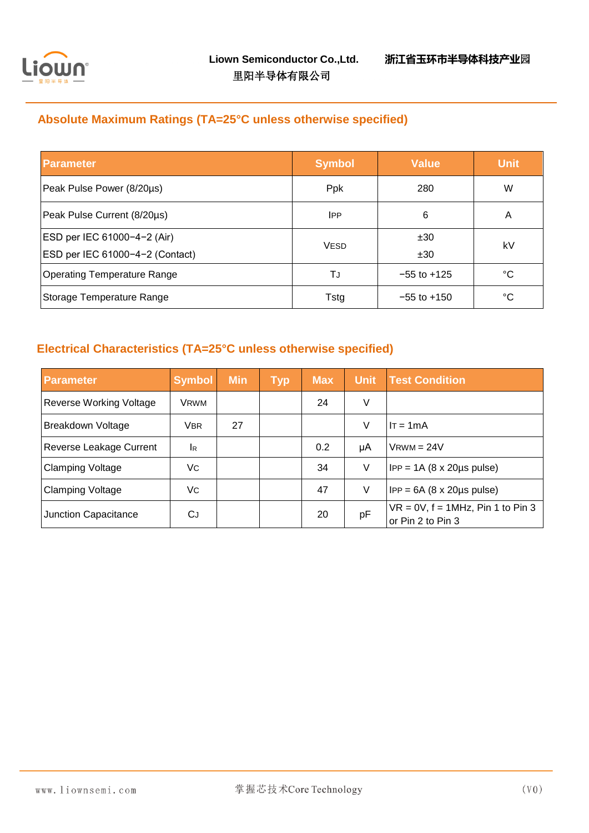

# **Absolute Maximum Ratings (TA=25°C unless otherwise specified)**

| <b>Parameter</b>                | <b>Symbol</b> | <b>Value</b>    | <b>Unit</b> |
|---------------------------------|---------------|-----------------|-------------|
| Peak Pulse Power (8/20µs)       | <b>Ppk</b>    | 280             | W           |
| Peak Pulse Current (8/20µs)     | <b>IPP</b>    | 6               | A           |
| ESD per IEC 61000-4-2 (Air)     | <b>VESD</b>   | ±30             | kV          |
| ESD per IEC 61000-4-2 (Contact) |               | ±30             |             |
| Operating Temperature Range     | TJ            | $-55$ to $+125$ | °C          |
| Storage Temperature Range       | Tstg          | $-55$ to $+150$ | °C          |

## **Electrical Characteristics (TA=25°C unless otherwise specified)**

| <b>Parameter</b>               | <b>Symbol</b> | <b>Min</b> | <b>Typ</b> | <b>Max</b> | <b>Unit</b> | <b>Test Condition</b>                                           |
|--------------------------------|---------------|------------|------------|------------|-------------|-----------------------------------------------------------------|
| <b>Reverse Working Voltage</b> | <b>VRWM</b>   |            |            | 24         | V           |                                                                 |
| Breakdown Voltage              | <b>VBR</b>    | 27         |            |            | V           | $IT = 1mA$                                                      |
| Reverse Leakage Current        | IR            |            |            | 0.2        | μA          | $V$ RWM = 24V                                                   |
| <b>Clamping Voltage</b>        | Vc.           |            |            | 34         | V           | $IPP = 1A (8 \times 20 \mu s \text{ pulse})$                    |
| <b>Clamping Voltage</b>        | Vc.           |            |            | 47         | V           | $IPP = 6A (8 \times 20 \mu s \text{ pulse})$                    |
| Junction Capacitance           | СJ            |            |            | 20         | pF          | $\forall R = 0V, f = 1MHz, Pin 1 to Pin 3$<br>or Pin 2 to Pin 3 |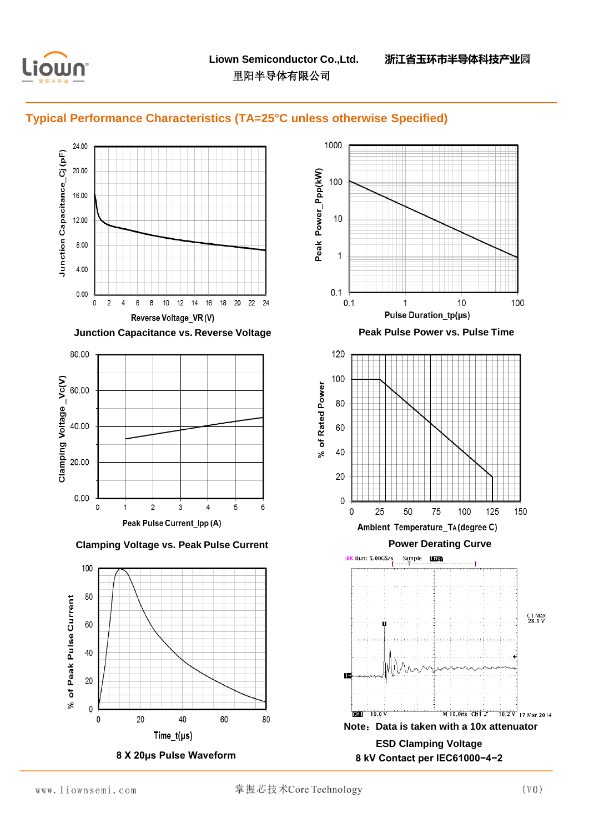





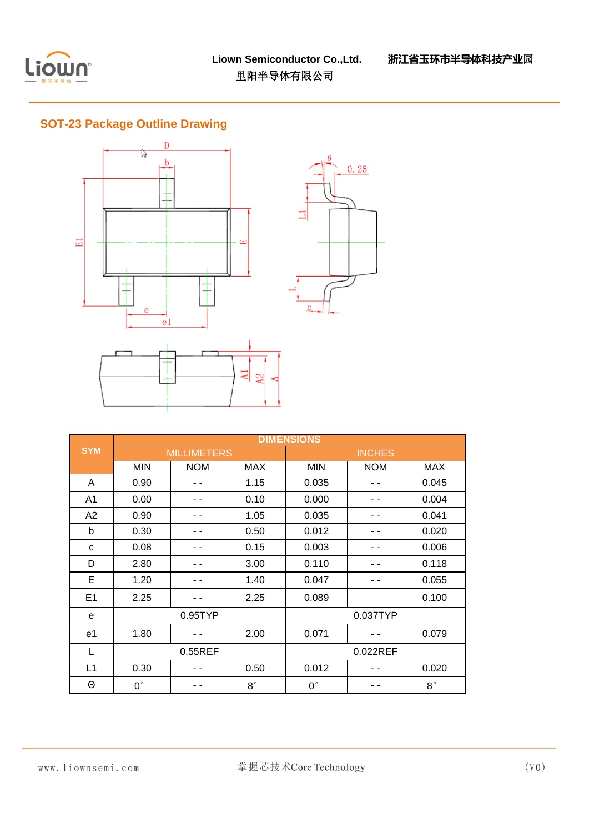

## **SOT-23 Package Outline Drawing**



|                |                    | <b>DIMENSIONS</b> |             |               |            |             |  |
|----------------|--------------------|-------------------|-------------|---------------|------------|-------------|--|
| <b>SYM</b>     | <b>MILLIMETERS</b> |                   |             | <b>INCHES</b> |            |             |  |
|                | <b>MIN</b>         | <b>NOM</b>        | <b>MAX</b>  | <b>MIN</b>    | <b>NOM</b> | <b>MAX</b>  |  |
| A              | 0.90               |                   | 1.15        | 0.035         |            | 0.045       |  |
| A1             | 0.00               |                   | 0.10        | 0.000         |            | 0.004       |  |
| A2             | 0.90               |                   | 1.05        | 0.035         |            | 0.041       |  |
| b              | 0.30               |                   | 0.50        | 0.012         |            | 0.020       |  |
| C              | 0.08               |                   | 0.15        | 0.003         |            | 0.006       |  |
| D              | 2.80               |                   | 3.00        | 0.110         |            | 0.118       |  |
| E              | 1.20               |                   | 1.40        | 0.047         |            | 0.055       |  |
| E <sub>1</sub> | 2.25               |                   | 2.25        | 0.089         |            | 0.100       |  |
| e              | $0.95$ TYP         |                   |             | 0.037TYP      |            |             |  |
| e1             | 1.80               |                   | 2.00        | 0.071         |            | 0.079       |  |
| L              | $0.55$ REF         |                   |             | 0.022REF      |            |             |  |
| L1             | 0.30               |                   | 0.50        | 0.012         |            | 0.020       |  |
| Θ              | $0^{\circ}$        |                   | $8^{\circ}$ | $0^{\circ}$   |            | $8^{\circ}$ |  |